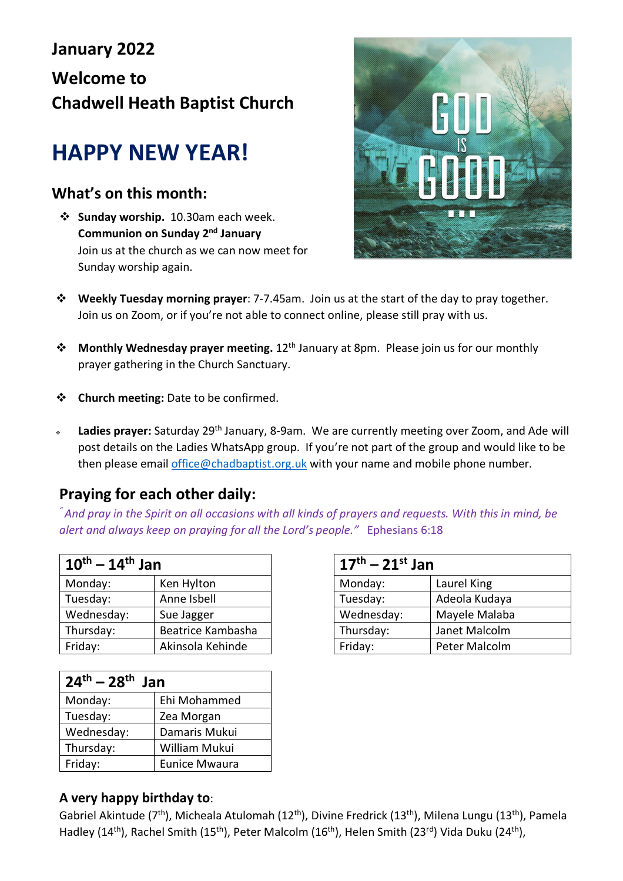# **January 2022 Welcome to Chadwell Heath Baptist Church**

# **HAPPY NEW YEAR!**

### **What's on this month:**

 **Sunday worship.** 10.30am each week. **Communion on Sunday 2nd January** Join us at the church as we can now meet for Sunday worship again.



- **Weekly Tuesday morning prayer**: 7-7.45am. Join us at the start of the day to pray together. Join us on Zoom, or if you're not able to connect online, please still pray with us.
- **Monthly Wednesday prayer meeting.** 12<sup>th</sup> January at 8pm. Please join us for our monthly prayer gathering in the Church Sanctuary.
- **Church meeting:** Date to be confirmed.
- **Ladies prayer:** Saturday 29th January, 8-9am. We are currently meeting over Zoom, and Ade will post details on the Ladies WhatsApp group. If you're not part of the group and would like to be then please email office@chadbaptist.org.uk with your name and mobile phone number.

## **Praying for each other daily:**

*" And pray in the Spirit on all occasions with all kinds of prayers and requests. With this in mind, be alert and always keep on praying for all the Lord's people."* Ephesians 6:18

| $10^{th} - 14^{th}$ Jan |                   | $17^{th} - 21^{st}$ Jan |               |
|-------------------------|-------------------|-------------------------|---------------|
| Monday:                 | Ken Hylton        | Monday:                 | Laurel King   |
| Tuesday:                | Anne Isbell       | Tuesday:                | Adeola Kudaya |
| Wednesday:              | Sue Jagger        | Wednesday:              | Mayele Malaba |
| Thursday:               | Beatrice Kambasha | Thursday:               | Janet Malcolm |
| Friday:                 | Akinsola Kehinde  | Friday:                 | Peter Malcolm |

| $24^{th} - 28^{th}$ Jan |                      |  |  |  |
|-------------------------|----------------------|--|--|--|
| Monday:                 | Ehi Mohammed         |  |  |  |
| Tuesday:                | Zea Morgan           |  |  |  |
| Wednesday:              | Damaris Mukui        |  |  |  |
| Thursday:               | William Mukui        |  |  |  |
| Friday:                 | <b>Eunice Mwaura</b> |  |  |  |

| $17^{th} - 21^{st}$ Jan |               |  |  |
|-------------------------|---------------|--|--|
| Monday:                 | Laurel King   |  |  |
| Tuesday:                | Adeola Kudaya |  |  |
| Wednesday:              | Mayele Malaba |  |  |
| Thursday:               | Janet Malcolm |  |  |
| Friday:                 | Peter Malcolm |  |  |

#### **A very happy birthday to**:

Gabriel Akintude (7<sup>th</sup>), Micheala Atulomah (12<sup>th</sup>), Divine Fredrick (13<sup>th</sup>), Milena Lungu (13<sup>th</sup>), Pamela Hadley (14<sup>th</sup>), Rachel Smith (15<sup>th</sup>), Peter Malcolm (16<sup>th</sup>), Helen Smith (23<sup>rd</sup>) Vida Duku (24<sup>th</sup>),